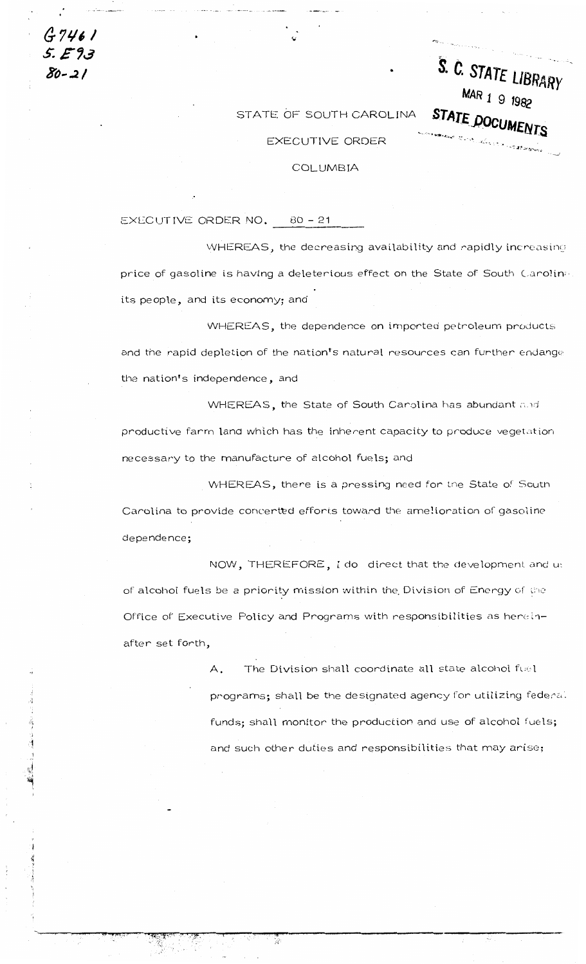$G7461$ 5. E 93 80-21

## STATE OF SOUTH CAROLINA

S. C. STATE LIBRARY

MAR 1 9 1982

STATE DOCUMENTS

## EXECUTIVE ORDER

## COLUMBIA

## EXECUTIVE ORDER NO. 80 - 21

WHEREAS, the decreasing availability and rapidly increasing price of gasoline is having a deleterious effect on the State of South Carolina its people, and its economy; and

WHEREAS, the dependence on imported petroleum products and the rapid depletion of the nation's natural resources can further endange the nation's independence, and

WHEREAS, the State of South Carolina has abundant and productive farm land which has the inherent capacity to produce vegetation necessary to the manufacture of alcohol fuels; and

WHEREAS, there is a pressing need for the State of South Carolina to provide concerted efforts toward the amelioration of gasoline dependence;

NOW, THEREFORE, I do direct that the development and us of alcohol fuels be a priority mission within the Division of Energy of the Office of Executive Policy and Programs with responsibilities as hereinafter set forth,

> The Division shall coordinate all state alcohol fuel  $\mathsf{A}.$ programs; shall be the designated agency for utilizing federal funds; shall monitor the production and use of alcohol fuels; and such other duties and responsibilities that may arise;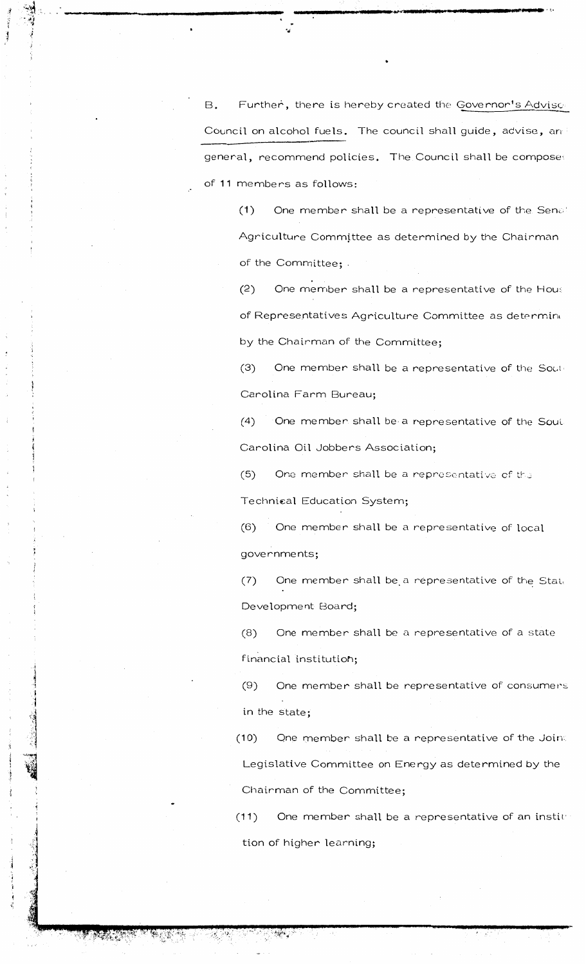Further, there is hereby created the Governor's Advisce **B.** Council on alcohol fuels. The council shall guide, advise, and general, recommend policies. The Council shall be composed of 11 members as follows:

One member shall be a representative of the Senat  $(1)$ Agriculture Committee as determined by the Chairman of the Committee; .

 $(2)$ One member shall be a representative of the Hous of Representatives Agriculture Committee as determine by the Chairman of the Committee;

One member shall be a representative of the Sout- $(3)$ Carolina Farm Bureau;

One member shall be a representative of the Sout.  $(4)$ Carolina Oil Jobbers Association;

One member shall be a representative of the  $(5)$ 

Technical Education System;

One member shall be a representative of local  $(6)$ governments;

One member shall be a representative of the State  $(7)$ Development Board;

One member shall be a representative of a state  $(8)$ financial institution;

One member shall be representative of consumers  $(9)$ in the state;

One member shall be a representative of the Joint  $(10)$ Legislative Committee on Energy as determined by the Chairman of the Committee;

One member shall be a representative of an institution  $(11)$ tion of higher learning;